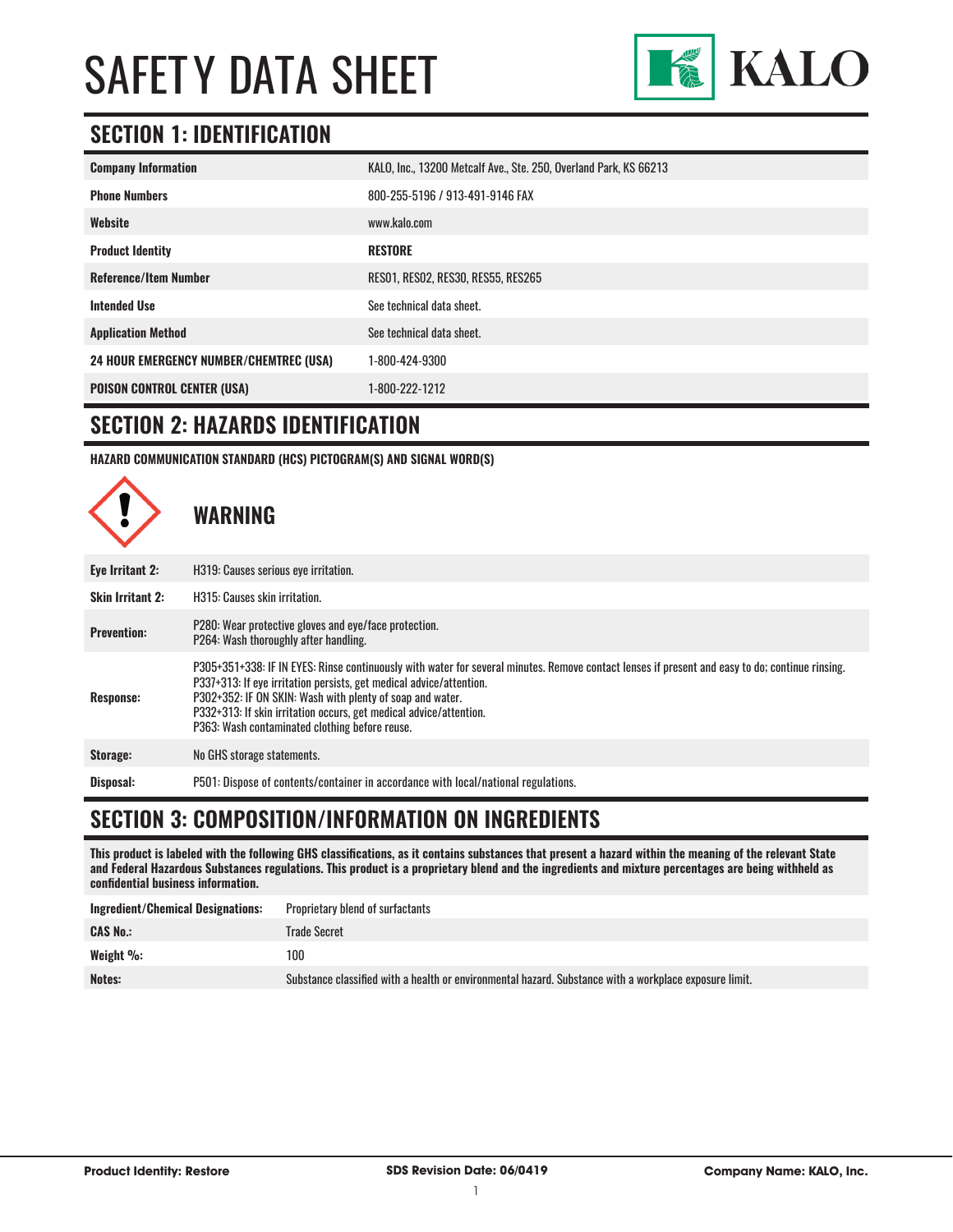

### **SECTION 1: IDENTIFICATION**

| <b>Company Information</b>                     | KALO, Inc., 13200 Metcalf Ave., Ste. 250, Overland Park, KS 66213 |
|------------------------------------------------|-------------------------------------------------------------------|
| <b>Phone Numbers</b>                           | 800-255-5196 / 913-491-9146 FAX                                   |
| Website                                        | www.kalo.com                                                      |
| <b>Product Identity</b>                        | <b>RESTORE</b>                                                    |
| <b>Reference/Item Number</b>                   | RESO1, RESO2, RES30, RES55, RES265                                |
| <b>Intended Use</b>                            | See technical data sheet.                                         |
| <b>Application Method</b>                      | See technical data sheet.                                         |
| <b>24 HOUR EMERGENCY NUMBER/CHEMTREC (USA)</b> | 1-800-424-9300                                                    |
| <b>POISON CONTROL CENTER (USA)</b>             | 1-800-222-1212                                                    |

#### **SECTION 2: HAZARDS IDENTIFICATION**

**HAZARD COMMUNICATION STANDARD (HCS) PICTOGRAM(S) AND SIGNAL WORD(S)**



#### **SECTION 3: COMPOSITION/INFORMATION ON INGREDIENTS**

**This product is labeled with the following GHS classifications, as it contains substances that present a hazard within the meaning of the relevant State and Federal Hazardous Substances regulations. This product is a proprietary blend and the ingredients and mixture percentages are being withheld as confidential business information.**

| Ingredient/Chemical Designations: | Proprietary blend of surfactants                                                                       |
|-----------------------------------|--------------------------------------------------------------------------------------------------------|
| <b>CAS No.:</b>                   | Trade Secret                                                                                           |
| Weight %:                         | 100                                                                                                    |
| Notes:                            | Substance classified with a health or environmental hazard. Substance with a workplace exposure limit. |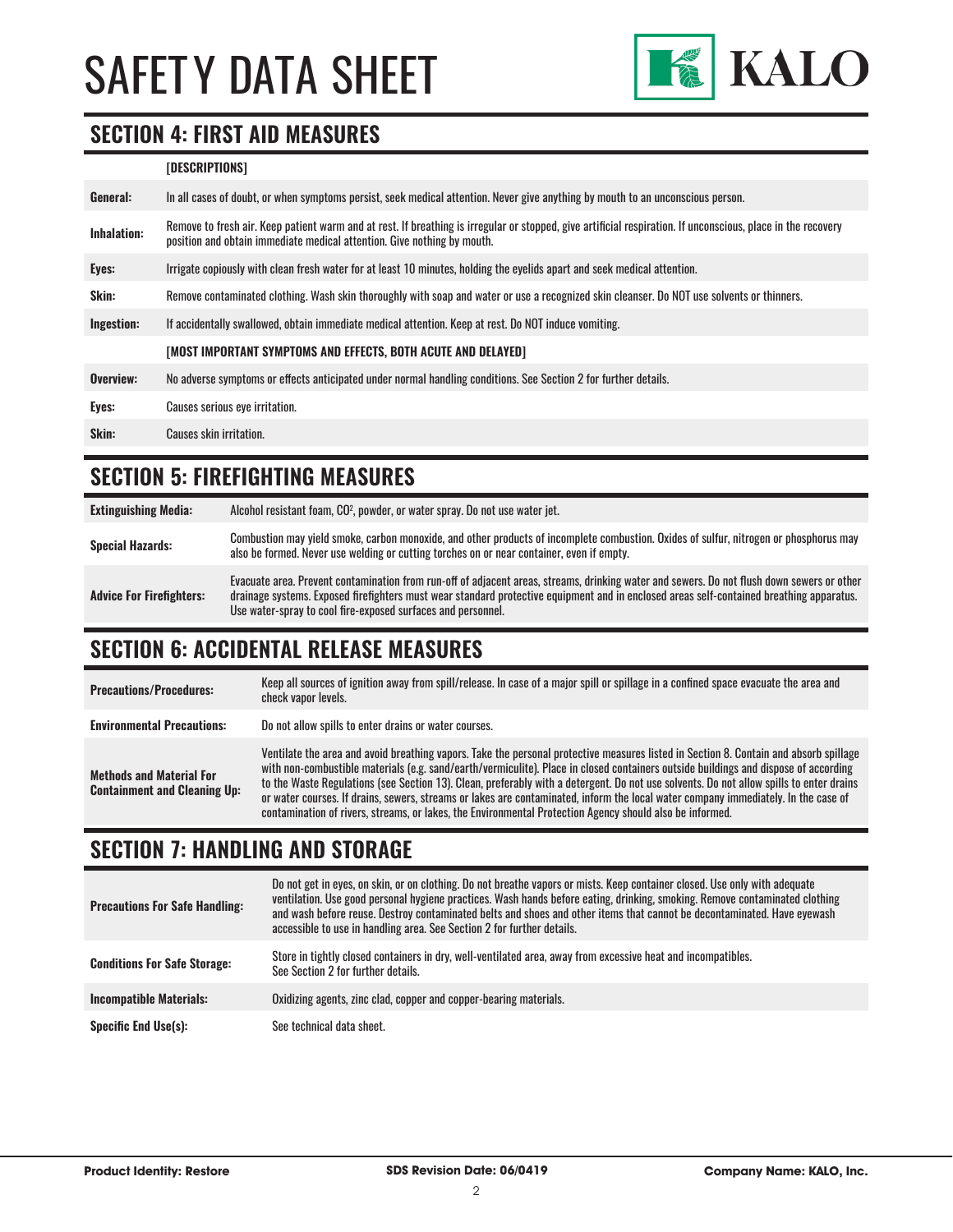

#### **SECTION 4: FIRST AID MEASURES**

#### **[DESCRIPTIONS]**

| Remove to fresh air. Keep patient warm and at rest. If breathing is irregular or stopped, give artificial respiration. If unconscious, place in the recovery<br><b>Inhalation:</b><br>position and obtain immediate medical attention. Give nothing by mouth. |  |
|---------------------------------------------------------------------------------------------------------------------------------------------------------------------------------------------------------------------------------------------------------------|--|
| Irrigate copiously with clean fresh water for at least 10 minutes, holding the eyelids apart and seek medical attention.<br>Eyes:                                                                                                                             |  |
| <b>Skin:</b><br>Remove contaminated clothing. Wash skin thoroughly with soap and water or use a recognized skin cleanser. Do NOT use solvents or thinners.                                                                                                    |  |
| Ingestion:<br>If accidentally swallowed, obtain immediate medical attention. Keep at rest. Do NOT induce vomiting.                                                                                                                                            |  |
| [MOST IMPORTANT SYMPTOMS AND EFFECTS, BOTH ACUTE AND DELAYED]                                                                                                                                                                                                 |  |
| Overview:<br>No adverse symptoms or effects anticipated under normal handling conditions. See Section 2 for further details.                                                                                                                                  |  |
| Eyes:<br>Causes serious eye irritation.                                                                                                                                                                                                                       |  |
| Skin:<br>Causes skin irritation.                                                                                                                                                                                                                              |  |

### **SECTION 5: FIREFIGHTING MEASURES**

| <b>Extinguishing Media:</b>     | Alcohol resistant foam, CO <sup>2</sup> , powder, or water spray. Do not use water jet.                                                                                                                                                                                                                                                                |
|---------------------------------|--------------------------------------------------------------------------------------------------------------------------------------------------------------------------------------------------------------------------------------------------------------------------------------------------------------------------------------------------------|
| <b>Special Hazards:</b>         | Combustion may yield smoke, carbon monoxide, and other products of incomplete combustion. Oxides of sulfur, nitrogen or phosphorus may<br>also be formed. Never use welding or cutting torches on or near container, even if empty.                                                                                                                    |
| <b>Advice For Firefighters:</b> | Evacuate area. Prevent contamination from run-off of adjacent areas, streams, drinking water and sewers. Do not flush down sewers or other<br>drainage systems. Exposed firefighters must wear standard protective equipment and in enclosed areas self-contained breathing apparatus.<br>Use water-spray to cool fire-exposed surfaces and personnel. |

#### **SECTION 6: ACCIDENTAL RELEASE MEASURES**

| <b>Precautions/Procedures:</b>                                         | Keep all sources of ignition away from spill/release. In case of a major spill or spillage in a confined space evacuate the area and<br>check vapor levels.                                                                                                                                                                                                                                                                                                                                                                                                                                                                                                               |
|------------------------------------------------------------------------|---------------------------------------------------------------------------------------------------------------------------------------------------------------------------------------------------------------------------------------------------------------------------------------------------------------------------------------------------------------------------------------------------------------------------------------------------------------------------------------------------------------------------------------------------------------------------------------------------------------------------------------------------------------------------|
| <b>Environmental Precautions:</b>                                      | Do not allow spills to enter drains or water courses.                                                                                                                                                                                                                                                                                                                                                                                                                                                                                                                                                                                                                     |
| <b>Methods and Material For</b><br><b>Containment and Cleaning Up:</b> | Ventilate the area and avoid breathing vapors. Take the personal protective measures listed in Section 8. Contain and absorb spillage<br>with non-combustible materials (e.g. sand/earth/vermiculite). Place in closed containers outside buildings and dispose of according<br>to the Waste Regulations (see Section 13). Clean, preferably with a detergent. Do not use solvents. Do not allow spills to enter drains<br>or water courses. If drains, sewers, streams or lakes are contaminated, inform the local water company immediately. In the case of<br>contamination of rivers, streams, or lakes, the Environmental Protection Agency should also be informed. |

### **SECTION 7: HANDLING AND STORAGE**

| <b>Precautions For Safe Handling:</b> | Do not get in eyes, on skin, or on clothing. Do not breathe vapors or mists. Keep container closed. Use only with adequate<br>ventilation. Use good personal hygiene practices. Wash hands before eating, drinking, smoking. Remove contaminated clothing<br>and wash before reuse. Destrov contaminated belts and shoes and other items that cannot be decontaminated. Have evewash<br>accessible to use in handling area. See Section 2 for further details. |
|---------------------------------------|----------------------------------------------------------------------------------------------------------------------------------------------------------------------------------------------------------------------------------------------------------------------------------------------------------------------------------------------------------------------------------------------------------------------------------------------------------------|
| <b>Conditions For Safe Storage:</b>   | Store in tightly closed containers in dry, well-ventilated area, away from excessive heat and incompatibles.<br>See Section 2 for further details.                                                                                                                                                                                                                                                                                                             |
| <b>Incompatible Materials:</b>        | Oxidizing agents, zinc clad, copper and copper-bearing materials.                                                                                                                                                                                                                                                                                                                                                                                              |
| <b>Specific End Use(s):</b>           | See technical data sheet.                                                                                                                                                                                                                                                                                                                                                                                                                                      |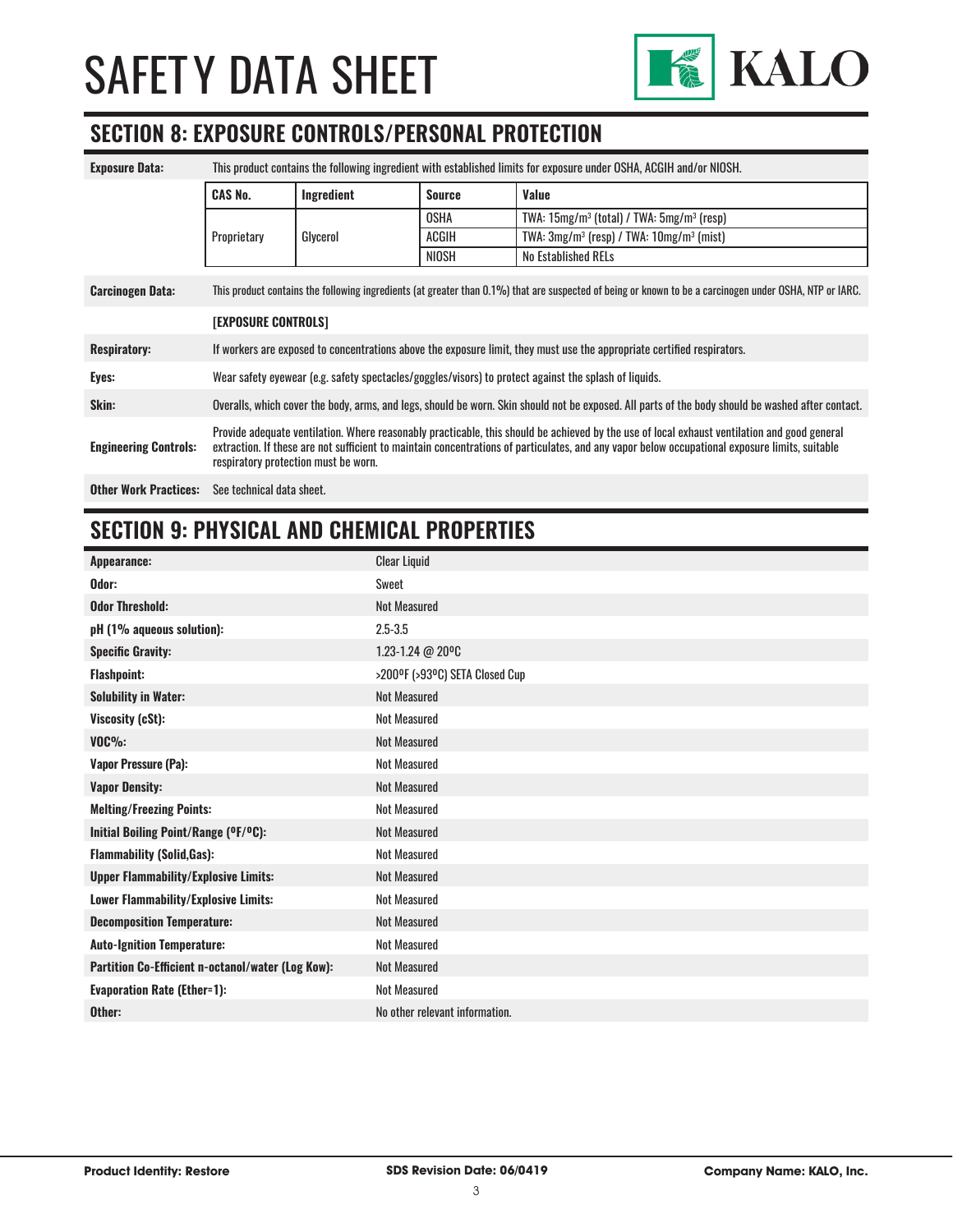

# **SECTION 8: EXPOSURE CONTROLS/PERSONAL PROTECTION**

| <b>Exposure Data:</b>        | This product contains the following ingredient with established limits for exposure under OSHA, ACGIH and/or NIOSH.                                                                                                                                                                                                                    |            |               |                                                                  |
|------------------------------|----------------------------------------------------------------------------------------------------------------------------------------------------------------------------------------------------------------------------------------------------------------------------------------------------------------------------------------|------------|---------------|------------------------------------------------------------------|
|                              | <b>CAS No.</b>                                                                                                                                                                                                                                                                                                                         | Ingredient | <b>Source</b> | Value                                                            |
|                              |                                                                                                                                                                                                                                                                                                                                        | Glycerol   | OSHA          | TWA: $15mg/m^3$ (total) / TWA: $5mg/m^3$ (resp)                  |
|                              | Proprietary                                                                                                                                                                                                                                                                                                                            |            | ACGIH         | TWA: 3mg/m <sup>3</sup> (resp) / TWA: 10mg/m <sup>3</sup> (mist) |
|                              |                                                                                                                                                                                                                                                                                                                                        |            | NIOSH         | No Established RELs                                              |
| <b>Carcinogen Data:</b>      | This product contains the following ingredients (at greater than 0.1%) that are suspected of being or known to be a carcinogen under OSHA, NTP or IARC.                                                                                                                                                                                |            |               |                                                                  |
|                              | <b>[EXPOSURE CONTROLS]</b>                                                                                                                                                                                                                                                                                                             |            |               |                                                                  |
| <b>Respiratory:</b>          | If workers are exposed to concentrations above the exposure limit, they must use the appropriate certified respirators.                                                                                                                                                                                                                |            |               |                                                                  |
| Eyes:                        | Wear safety eyewear (e.g. safety spectacles/goggles/visors) to protect against the splash of liquids.                                                                                                                                                                                                                                  |            |               |                                                                  |
| Skin:                        | Overalls, which cover the body, arms, and legs, should be worn. Skin should not be exposed. All parts of the body should be washed after contact.                                                                                                                                                                                      |            |               |                                                                  |
| <b>Engineering Controls:</b> | Provide adequate ventilation. Where reasonably practicable, this should be achieved by the use of local exhaust ventilation and good general<br>extraction. If these are not sufficient to maintain concentrations of particulates, and any vapor below occupational exposure limits, suitable<br>respiratory protection must be worn. |            |               |                                                                  |
| <b>Other Work Practices:</b> | See technical data sheet.                                                                                                                                                                                                                                                                                                              |            |               |                                                                  |

## **SECTION 9: PHYSICAL AND CHEMICAL PROPERTIES**

| Appearance:                                       | <b>Clear Liquid</b>            |
|---------------------------------------------------|--------------------------------|
| Odor:                                             | Sweet                          |
| <b>Odor Threshold:</b>                            | <b>Not Measured</b>            |
| pH (1% aqueous solution):                         | $2.5 - 3.5$                    |
| <b>Specific Gravity:</b>                          | 1.23-1.24 @ 20°C               |
| <b>Flashpoint:</b>                                | >200°F (>93°C) SETA Closed Cup |
| <b>Solubility in Water:</b>                       | <b>Not Measured</b>            |
| Viscosity (cSt):                                  | <b>Not Measured</b>            |
| $VOC\%$                                           | <b>Not Measured</b>            |
| <b>Vapor Pressure (Pa):</b>                       | Not Measured                   |
| <b>Vapor Density:</b>                             | <b>Not Measured</b>            |
| <b>Melting/Freezing Points:</b>                   | <b>Not Measured</b>            |
| Initial Boiling Point/Range (OF/OC):              | <b>Not Measured</b>            |
| <b>Flammability (Solid, Gas):</b>                 | <b>Not Measured</b>            |
| <b>Upper Flammability/Explosive Limits:</b>       | <b>Not Measured</b>            |
| Lower Flammability/Explosive Limits:              | <b>Not Measured</b>            |
| <b>Decomposition Temperature:</b>                 | <b>Not Measured</b>            |
| <b>Auto-Ignition Temperature:</b>                 | <b>Not Measured</b>            |
| Partition Co-Efficient n-octanol/water (Log Kow): | <b>Not Measured</b>            |
| <b>Evaporation Rate (Ether=1):</b>                | <b>Not Measured</b>            |
| Other:                                            | No other relevant information. |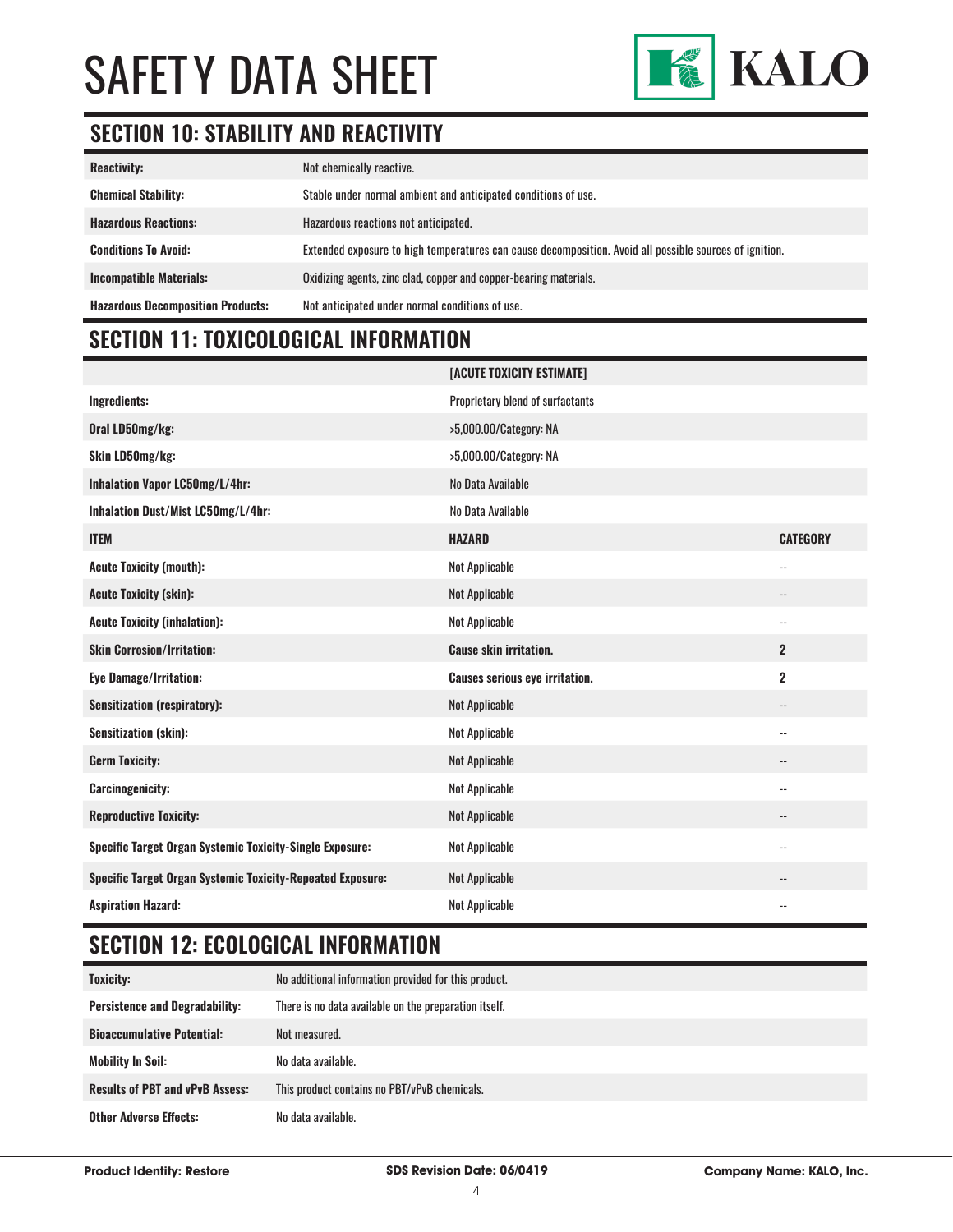

# **SECTION 10: STABILITY AND REACTIVITY**

| <b>Reactivity:</b>                       | Not chemically reactive.                                                                                |
|------------------------------------------|---------------------------------------------------------------------------------------------------------|
| <b>Chemical Stability:</b>               | Stable under normal ambient and anticipated conditions of use.                                          |
| <b>Hazardous Reactions:</b>              | Hazardous reactions not anticipated.                                                                    |
| <b>Conditions To Avoid:</b>              | Extended exposure to high temperatures can cause decomposition. Avoid all possible sources of ignition. |
| <b>Incompatible Materials:</b>           | Oxidizing agents, zinc clad, copper and copper-bearing materials.                                       |
| <b>Hazardous Decomposition Products:</b> | Not anticipated under normal conditions of use.                                                         |

# **SECTION 11: TOXICOLOGICAL INFORMATION**

|                                                                   | [ACUTE TOXICITY ESTIMATE]             |                          |
|-------------------------------------------------------------------|---------------------------------------|--------------------------|
| Ingredients:                                                      | Proprietary blend of surfactants      |                          |
| Oral LD50mg/kg:                                                   | >5,000.00/Category: NA                |                          |
| Skin LD50mg/kg:                                                   | >5,000.00/Category: NA                |                          |
| Inhalation Vapor LC50mg/L/4hr:                                    | No Data Available                     |                          |
| Inhalation Dust/Mist LC50mg/L/4hr:                                | No Data Available                     |                          |
| <b>ITEM</b>                                                       | <b>HAZARD</b>                         | <b>CATEGORY</b>          |
| <b>Acute Toxicity (mouth):</b>                                    | Not Applicable                        | $\qquad \qquad -$        |
| <b>Acute Toxicity (skin):</b>                                     | Not Applicable                        | --                       |
| <b>Acute Toxicity (inhalation):</b>                               | Not Applicable                        | $\overline{a}$           |
| <b>Skin Corrosion/Irritation:</b>                                 | <b>Cause skin irritation.</b>         | $\overline{2}$           |
| <b>Eye Damage/Irritation:</b>                                     | <b>Causes serious eye irritation.</b> | $\overline{2}$           |
| <b>Sensitization (respiratory):</b>                               | Not Applicable                        | --                       |
| <b>Sensitization (skin):</b>                                      | Not Applicable                        | $-$                      |
| <b>Germ Toxicity:</b>                                             | Not Applicable                        | --                       |
| <b>Carcinogenicity:</b>                                           | Not Applicable                        | $\overline{\phantom{a}}$ |
| <b>Reproductive Toxicity:</b>                                     | Not Applicable                        | $\overline{\phantom{a}}$ |
| <b>Specific Target Organ Systemic Toxicity-Single Exposure:</b>   | Not Applicable                        | --                       |
| <b>Specific Target Organ Systemic Toxicity-Repeated Exposure:</b> | Not Applicable                        | $-$                      |
| <b>Aspiration Hazard:</b>                                         | Not Applicable                        | $-$                      |

# **SECTION 12: ECOLOGICAL INFORMATION**

| <b>Toxicity:</b>                       | No additional information provided for this product.  |
|----------------------------------------|-------------------------------------------------------|
| <b>Persistence and Degradability:</b>  | There is no data available on the preparation itself. |
| <b>Bioaccumulative Potential:</b>      | Not measured.                                         |
| <b>Mobility In Soil:</b>               | No data available.                                    |
| <b>Results of PBT and vPvB Assess:</b> | This product contains no PBT/vPvB chemicals.          |
| <b>Other Adverse Effects:</b>          | No data available.                                    |